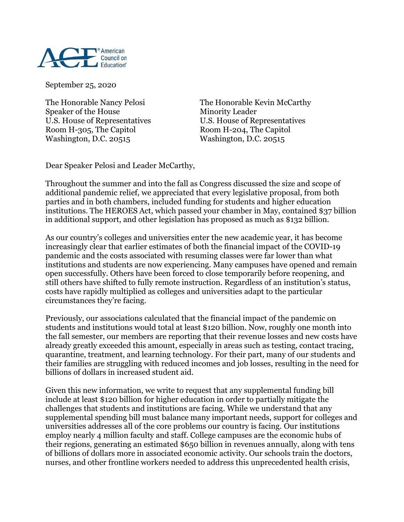

September 25, 2020

Speaker of the House Minority Leader Room H-305, The Capitol Room H-204, The Capitol Washington, D.C. 20515 Washington, D.C. 20515

The Honorable Nancy Pelosi The Honorable Kevin McCarthy U.S. House of Representatives U.S. House of Representatives

Dear Speaker Pelosi and Leader McCarthy,

Throughout the summer and into the fall as Congress discussed the size and scope of additional pandemic relief, we appreciated that every legislative proposal, from both parties and in both chambers, included funding for students and higher education institutions. The HEROES Act, which passed your chamber in May, contained \$37 billion in additional support, and other legislation has proposed as much as \$132 billion.

As our country's colleges and universities enter the new academic year, it has become increasingly clear that earlier estimates of both the financial impact of the COVID-19 pandemic and the costs associated with resuming classes were far lower than what institutions and students are now experiencing. Many campuses have opened and remain open successfully. Others have been forced to close temporarily before reopening, and still others have shifted to fully remote instruction. Regardless of an institution's status, costs have rapidly multiplied as colleges and universities adapt to the particular circumstances they're facing.

Previously, our associations calculated that the financial impact of the pandemic on students and institutions would total at least \$120 billion. Now, roughly one month into the fall semester, our members are reporting that their revenue losses and new costs have already greatly exceeded this amount, especially in areas such as testing, contact tracing, quarantine, treatment, and learning technology. For their part, many of our students and their families are struggling with reduced incomes and job losses, resulting in the need for billions of dollars in increased student aid.

Given this new information, we write to request that any supplemental funding bill include at least \$120 billion for higher education in order to partially mitigate the challenges that students and institutions are facing. While we understand that any supplemental spending bill must balance many important needs, support for colleges and universities addresses all of the core problems our country is facing. Our institutions employ nearly 4 million faculty and staff. College campuses are the economic hubs of their regions, generating an estimated \$650 billion in revenues annually, along with tens of billions of dollars more in associated economic activity. Our schools train the doctors, nurses, and other frontline workers needed to address this unprecedented health crisis,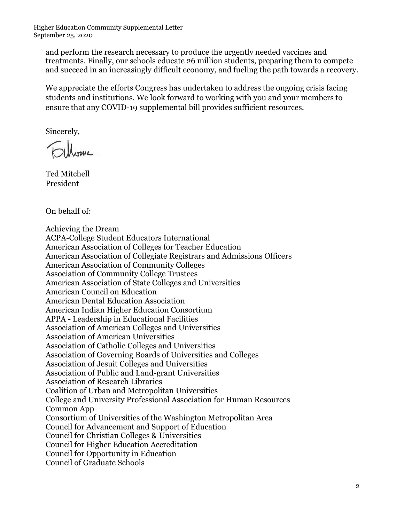Higher Education Community Supplemental Letter September 25, 2020

and perform the research necessary to produce the urgently needed vaccines and treatments. Finally, our schools educate 26 million students, preparing them to compete and succeed in an increasingly difficult economy, and fueling the path towards a recovery.

We appreciate the efforts Congress has undertaken to address the ongoing crisis facing students and institutions. We look forward to working with you and your members to ensure that any COVID-19 supplemental bill provides sufficient resources.

Sincerely,

Ted Mitchell President

On behalf of:

Achieving the Dream ACPA-College Student Educators International American Association of Colleges for Teacher Education American Association of Collegiate Registrars and Admissions Officers American Association of Community Colleges Association of Community College Trustees American Association of State Colleges and Universities American Council on Education American Dental Education Association American Indian Higher Education Consortium APPA - Leadership in Educational Facilities Association of American Colleges and Universities Association of American Universities Association of Catholic Colleges and Universities Association of Governing Boards of Universities and Colleges Association of Jesuit Colleges and Universities Association of Public and Land-grant Universities Association of Research Libraries Coalition of Urban and Metropolitan Universities College and University Professional Association for Human Resources Common App Consortium of Universities of the Washington Metropolitan Area Council for Advancement and Support of Education Council for Christian Colleges & Universities Council for Higher Education Accreditation Council for Opportunity in Education Council of Graduate Schools